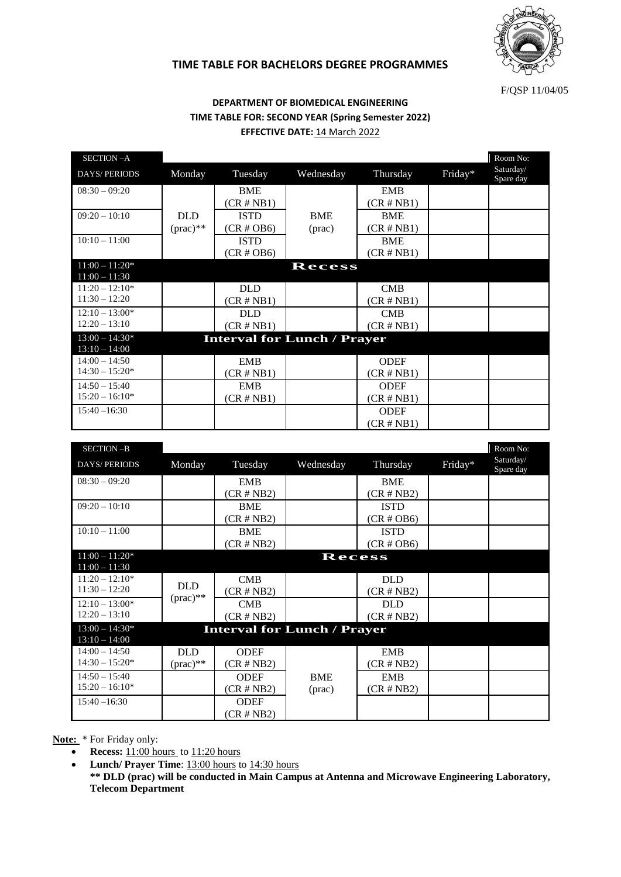

## **TIME TABLE FOR BACHELORS DEGREE PROGRAMMES**

F/QSP 11/04/05

## **DEPARTMENT OF BIOMEDICAL ENGINEERING TIME TABLE FOR: SECOND YEAR (Spring Semester 2022) EFFECTIVE DATE: 14 March 2022**

| SECTION-A           |                   |                                    |                 |               |         | Room No:               |
|---------------------|-------------------|------------------------------------|-----------------|---------------|---------|------------------------|
| <b>DAYS/PERIODS</b> | Monday            | Tuesday                            | Wednesday       | Thursday      | Friday* | Saturday/<br>Spare day |
| $08:30 - 09:20$     |                   | <b>BME</b>                         |                 | <b>EMB</b>    |         |                        |
|                     |                   | $(CR \# NB1)$                      |                 | $(CR \# NB1)$ |         |                        |
| $09:20 - 10:10$     | <b>DLD</b>        | <b>ISTD</b>                        | <b>BME</b>      | <b>BME</b>    |         |                        |
|                     | $(\text{prac})^*$ | $(CR \# OB6)$                      | $(\text{prac})$ | $(CR \# NB1)$ |         |                        |
| $10:10 - 11:00$     |                   | <b>ISTD</b>                        |                 | <b>BME</b>    |         |                        |
|                     |                   | $(CR \# OB6)$                      |                 | $(CR \# NB1)$ |         |                        |
| $11:00 - 11:20*$    |                   |                                    | Recess          |               |         |                        |
| $11:00 - 11:30$     |                   |                                    |                 |               |         |                        |
| $11:20 - 12:10*$    |                   | <b>DLD</b>                         |                 | CMB           |         |                        |
| $11:30 - 12:20$     |                   | $(CR \# NB1)$                      |                 | $(CR \# NB1)$ |         |                        |
| $12:10 - 13:00*$    |                   | <b>DLD</b>                         |                 | <b>CMB</b>    |         |                        |
| $12:20 - 13:10$     |                   | $(CR \# NB1)$                      |                 | $(CR \# NB1)$ |         |                        |
| $13:00 - 14:30*$    |                   | <b>Interval for Lunch / Prayer</b> |                 |               |         |                        |
| $13:10 - 14:00$     |                   |                                    |                 |               |         |                        |
| $14:00 - 14:50$     |                   | <b>EMB</b>                         |                 | <b>ODEF</b>   |         |                        |
| $14:30 - 15:20*$    |                   | $(CR \# NB1)$                      |                 | $(CR \# NB1)$ |         |                        |
| $14:50 - 15:40$     |                   | <b>EMB</b>                         |                 | <b>ODEF</b>   |         |                        |
| $15:20 - 16:10*$    |                   | $(CR \# NB1)$                      |                 | $(CR \# NB1)$ |         |                        |
| $15:40 - 16:30$     |                   |                                    |                 | <b>ODEF</b>   |         |                        |
|                     |                   |                                    |                 | $(CR \# NB1)$ |         |                        |
|                     |                   |                                    |                 |               |         |                        |

| SECTION-B                           |                   |                                    |            |               |         | Room No:               |
|-------------------------------------|-------------------|------------------------------------|------------|---------------|---------|------------------------|
| <b>DAYS/PERIODS</b>                 | Monday            | Tuesday                            | Wednesday  | Thursday      | Friday* | Saturday/<br>Spare day |
| $08:30 - 09:20$                     |                   | <b>EMB</b>                         |            | <b>BME</b>    |         |                        |
|                                     |                   | $(CR \# NB2)$                      |            | $(CR \# NB2)$ |         |                        |
| $09:20 - 10:10$                     |                   | <b>BME</b>                         |            | <b>ISTD</b>   |         |                        |
|                                     |                   | $(CR \# NB2)$                      |            | $(CR \# OB6)$ |         |                        |
| $10:10 - 11:00$                     |                   | <b>BME</b>                         |            | <b>ISTD</b>   |         |                        |
|                                     |                   | $(CR \# NB2)$                      |            | $(CR \# OB6)$ |         |                        |
| $11:00 - 11:20*$<br>$11:00 - 11:30$ |                   |                                    | Recess     |               |         |                        |
| $11:20 - 12:10*$                    |                   | CMB                                |            | <b>DLD</b>    |         |                        |
| $11:30 - 12:20$                     | <b>DLD</b>        | $(CR \# NB2)$                      |            | $(CR \# NB2)$ |         |                        |
| $12:10 - 13:00*$                    | $(\text{prac})^*$ | CMB                                |            | <b>DLD</b>    |         |                        |
| $12:20 - 13:10$                     |                   | $(CR \# NB2)$                      |            | $(CR \# NB2)$ |         |                        |
| $13:00 - 14:30*$                    |                   | <b>Interval for Lunch / Prayer</b> |            |               |         |                        |
| $13:10 - 14:00$                     |                   |                                    |            |               |         |                        |
| $14:00 - 14:50$                     | <b>DLD</b>        | <b>ODEF</b>                        |            | <b>EMB</b>    |         |                        |
| $14:30 - 15:20*$                    | $(\text{prac})^*$ | $(CR \# NB2)$                      |            | $(CR \# NB2)$ |         |                        |
| $14:50 - 15:40$                     |                   | <b>ODEF</b>                        | <b>BME</b> | <b>EMB</b>    |         |                        |
| $15:20 - 16:10*$                    |                   | $(CR \# NB2)$                      | (prac)     | $(CR \# NB2)$ |         |                        |
| $15:40 - 16:30$                     |                   | <b>ODEF</b>                        |            |               |         |                        |
|                                     |                   | $(CR \# NB2)$                      |            |               |         |                        |

**Note:** \* For Friday only:

• **Recess:**  $11:00$  hours to  $11:20$  hours

• **Lunch/ Prayer Time**: 13:00 hours to 14:30 hours

**\*\* DLD (prac) will be conducted in Main Campus at Antenna and Microwave Engineering Laboratory, Telecom Department**